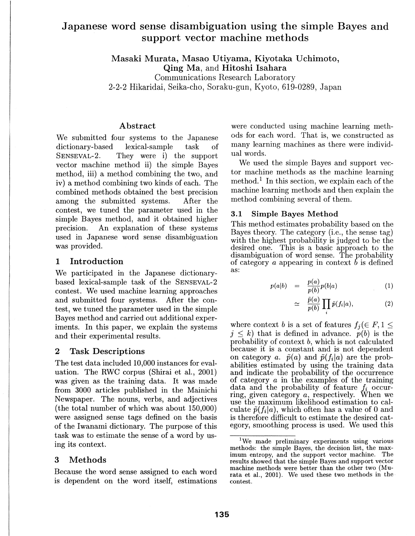# Japanese word sense disambiguation using the simple Bayes and support vector machine methods

Masaki Murata, Masao Utiyama, Kiyotaka Uchimoto, Qing Ma, and Hitoshi Isahara

Communications Research Laboratory 2-2-2 Hikaridai, Seika-cho, Soraku-gun, Kyoto, 619-0289, Japan

## Abstract

We submitted four systems to the Japanese dictionary-based lexical-sample task of SENSEVAL-2. They were i) the support vector machine method ii) the simple Bayes method, iii) a method combining the two, and iv) a method combining two kinds of each. The combined methods obtained the best precision among the submitted systems. After the contest, we tuned the parameter used in the simple Bayes method, and it obtained higher precision. An explanation of these systems used in Japanese word sense disambiguation was provided.

## **1** Introduction

We participated in the Japanese dictionarybased lexical-sample task of the SENSEVAL-2 contest. We used machine learning approaches and submitted four systems. After the contest, we tuned the parameter used in the simple Bayes method and carried out additional experiments. In this paper, we explain the systems and their experimental results.

## 2 Task Descriptions

The test data included 10,000 instances for evaluation. The RWC corpus (Shirai et al., 2001) was given as the training data. It was made from 3000 articles published in the Mainichi Newspaper. The nouns, verbs, and adjectives (the total number of which was about 150,000) were assigned sense tags defined on the basis of the Iwanami dictionary. The purpose of this task was to estimate the sense of a word by using its context.

## 3 Methods

Because the word sense assigned to each word is dependent on the word itself, estimations

were conducted using machine learning methods for each word. That is, we constructed as many learning machines as there were individual words.

We used the simple Bayes and support vector machine methods as the machine learning method.<sup>1</sup> In this section, we explain each of the machine learning methods and then explain the method combining several of them.

## 3.1 Simple Bayes Method

This method estimates probability based on the Bayes theory. The category (i.e., the sense tag) with the highest probability is judged to be the desired one. This is a basic approach to the disambiguation of word sense. The probability of category *a* appearing in context b is defined as:

$$
p(a|b) = \frac{p(a)}{p(b)}p(b|a) \qquad (1)
$$

$$
\simeq \quad \frac{\tilde{p}(a)}{p(b)} \prod_{i} \tilde{p}(f_i|a), \tag{2}
$$

where context *b* is a set of features  $f_i \in F, 1 \leq$  $j \leq k$ ) that is defined in advance.  $p(b)$  is the probability of context b, which is not calculated because it is a constant and is not dependent on category *a*.  $\tilde{p}(a)$  and  $\tilde{p}(f_i|a)$  are the probabilities estimated by using the training data and indicate the probability of the occurrence of category *a* in the examples of the training data and the probability of feature  $f_i$  occurring, given category *a,* respectively. When we use the maximum likelihood estimation to calculate  $\tilde{p}(f_i|a)$ , which often has a value of 0 and is therefore difficult to estimate the desired category, smoothing process is used. We used this

<sup>1</sup>We made preliminary experiments using various methods: the simple Bayes, the decision list, the maximum entropy, and the support vector machine. The results showed that the simple Bayes and support vector machine methods were better than the other two (Murata et al., 2001). We used these two methods in the contest.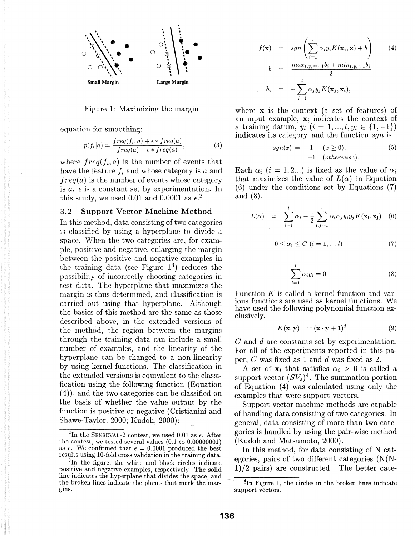

Figure 1: Maximizing the margin

equation for smoothing:

$$
\tilde{p}(f_i|a) = \frac{freq(f_i, a) + \epsilon * freq(a)}{freq(a) + \epsilon * freq(a)},
$$
\n(3)

where  $freq(f_i, a)$  is the number of events that have the feature  $f_i$  and whose category is  $a$  and  $freq(a)$  is the number of events whose category is  $a. \epsilon$  is a constant set by experimentation. In this study, we used 0.01 and 0.0001 as  $\epsilon$ <sup>2</sup>

## 3.2 Support Vector Machine Method

In this method, data consisting of two categories is classified by using a hyperplane to divide a space. When the two categories are, for example, positive and negative, enlarging the margin between the positive and negative examples in the training data *(see* Figure 13) reduces the possibility of incorrectly choosing categories in test data. The hyperplane that maximizes the margin is thus determined, and classification is carried out using that hyperplane. Although the basics of this method are the same as those described above, in the extended versions of the method, the region between the margins through the training data can include a small number of examples, and the linearity of the hyperplane can be changed to a non-linearity by using kernel functions. The classification in the extended versions is equivalent to the classification using the following function (Equation ( 4)), and the two categories can be classified on the basis of whether the value output by the function is positive or negative (Cristianini and Shawe-Taylor, 2000; Kudoh, 2000):

$$
f(\mathbf{x}) = sgn\left(\sum_{i=1}^{l} \alpha_i y_i K(\mathbf{x}_i, \mathbf{x}) + b\right)
$$
(4)  

$$
b = \frac{max_{i,y_i=-1}b_i + min_{i,y_i=1}b_i}{2}
$$
  

$$
b_i = -\sum_{j=1}^{l} \alpha_j y_j K(\mathbf{x}_j, \mathbf{x}_i),
$$

where  $x$  is the context (a set of features) of an input example,  $x_i$  indicates the context of a training datum,  $y_i$  ( $i = 1, ..., l, y_i \in \{1, -1\}$ ) indicates its category, and the function sqn is

$$
sgn(x) = 1 \quad (x \ge 0),
$$
  
-1 (otherwise). (5)

Each  $\alpha_i$  ( $i = 1, 2...$ ) is fixed as the value of  $\alpha_i$ that maximizes the value of  $L(\alpha)$  in Equation (6) under the conditions set by Equations (7) and (8).

$$
L(\alpha) = \sum_{i=1}^{l} \alpha_i - \frac{1}{2} \sum_{i,j=1}^{l} \alpha_i \alpha_j y_i y_j K(\mathbf{x_i}, \mathbf{x_j}) \quad (6)
$$

$$
0 \leq \alpha_i \leq C \ (i = 1, ..., l) \tag{7}
$$

$$
\sum_{i=1}^{l} \alpha_i y_i = 0 \tag{8}
$$

Function K is called a kernel function and various functions are used as kernel functions. We have used the following polynomial function exclusively.

$$
K(\mathbf{x}, \mathbf{y}) = (\mathbf{x} \cdot \mathbf{y} + 1)^d \tag{9}
$$

C and d are constants set by experimentation. For all of the experiments reported in this paper, C was fixed as 1 and d was fixed as 2.

A set of  $x_i$  that satisfies  $\alpha_i > 0$  is called a support vector  $(SV_s)^4$ . The summation portion of Equation  $(4)$  was calculated using only the examples that were support vectors.

Support vector machine methods are capable of handling data consisting of two categories. In general, data consisting of more than two categories is handled by using the pair-wise method (Kudoh and Matsumoto, 2000).

In this method, for data consisting of N categories, pairs of two different categories  $(N/N-$ 1)/2 pairs) are constructed. The better cate-

<sup>&</sup>lt;sup>2</sup>In the SENSEVAL-2 contest, we used 0.01 as  $\epsilon$ . After the contest, we tested several values (0.1 to 0.00000001) as  $\epsilon$ . We confirmed that  $\epsilon = 0.0001$  produced the best results using 10-fold cross validation in the training data. 3 In the figure, the white and black circles indicate

positive and negative examples, respectively. The solid line indicates the hyperplane that divides the space, and the broken lines indicate the planes that mark the margins.

 $\frac{4}{3}$ In Figure 1, the circles in the broken lines indicate support vectors.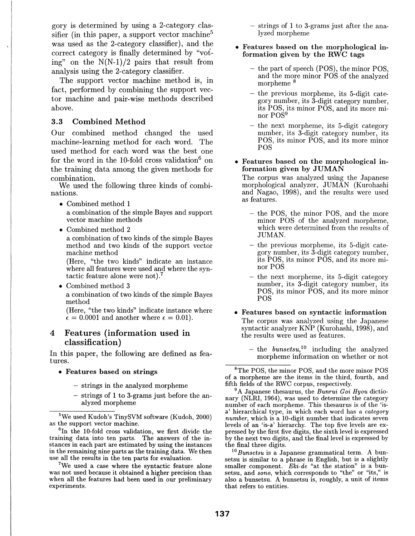gory is determined by using a 2-category classifier (in this paper, a support vector machine<sup>5</sup> was used as the 2-category classifier), and the correct category is finally determined by "voting" on the  $N(N-1)/2$  pairs that result from analysis using the 2-category classifier.

The support vector machine method is, in fact, performed by combining the support vector machine and pair-wise methods described above.

## 3.3 Combined Method

Our combined method changed the used machine-learning method for each word. The used method for each word was the best one for the word in the 10-fold cross validation<sup>6</sup> on the training data among the given methods for combination.

We used the following three kinds of combinations.

- Combined method 1 a combination of the simple Bayes and support vector machine methods
- Combined method 2

a combination of two kinds of the simple Bayes method and two kinds of the support vector machine method

(Here, "the two kinds" indicate an instance where all features were used and where the syntactic feature alone were not). <sup>7</sup>

• Combined method 3

a combination of two kinds of the simple Bayes method

(Here, "the two kinds" indicate instance where  $\epsilon = 0.0001$  and another where  $\epsilon = 0.01$ .

## 4 Features (information used in classification)

In this paper, the following are defined as features.

- Features based on strings
	- strings in the analyzed morpheme
	- strings of 1 to 3-grams just before the analyzed morpheme

 ${}^{6}$ In the 10-fold cross validation, we first divide the training data into ten parts. The answers of the instances in each part are estimated by using the instances in the remaining nine parts as the training data. We then use all the results in the ten parts for evaluation.

<sup>7</sup>We used a case where the syntactic feature alone was not used because it obtained a higher precision than when all the features had been used in our preliminary experiments.

- strings of 1 to 3-grams just after the analyzed morpheme

• Features based on the morphological information given by the RWC tags

- the part of speech (POS), the minor POS, and the more minor POS of the analyzed morpheme <sup>8</sup>
- the previous morpheme, its 5-digit category number, its 3-digit category number, its POS, its minor POS, and its more minor POS9
- the next morpheme, its 5-digit category number, its 3-digit category number, its POS, its minor POS, and its more minor POS
- Features based on the morphological information given by JUMAN

The corpus was analyzed using the Japanese morphological analyzer, JUMAN (Kurohashi and Nagao, 1998), and the results were used as features.

- the POS, the minor POS, and the more minor POS of the analyzed morpheme, which were determined from the results of JUMAN.
- $-$  the previous morpheme, its 5-digit category number, its 3-digit category number, its POS, its minor POS, and its more minor POS
- the next morpheme, its 5-digit category number, its 3-digit category number, its POS, its minor POS, and its more minor POS
- Features based on syntactic information The corpus was analyzed using the Japanese syntactic analyzer KNP (Kurohashi, 1998), and the results were used as features.
	- $-$  the *bunsetsu*,<sup>10</sup> including the analyzed morpheme information on whether or not

<sup>8</sup>The POS, the minor POS, and the more minor POS of a morpheme are the items in the third, fourth, and

 $^{9}$ A Japanese thesaurus, the *Bunrui Goi Hyou* dictionary (NLRI, 1964), was used to determine the category number of each morpheme. This thesaurus is of the 'isa' hierarchical type, in which each word has *a category number,* which is a 10-digit number that indicates seven levels of an 'is-a' hierarchy. The top five levels are expressed by the first five digits, the sixth level is expressed by the next two digits, and the final level is expressed by

<sup>10</sup> *Bunsetsu* is a Japanese grammatical term. A bunsetsu is similar to a phrase in English, but is a slightly smaller component. *Eki-de* "at the station" is a bunsetsu, and *sono,* which corresponds to "the" or "its," is also a bunsetsu. A bunsetsu is, roughly, a unit of items that refers to entities.

 $5$ We used Kudoh's TinySVM software (Kudoh, 2000) as the support vector machine.